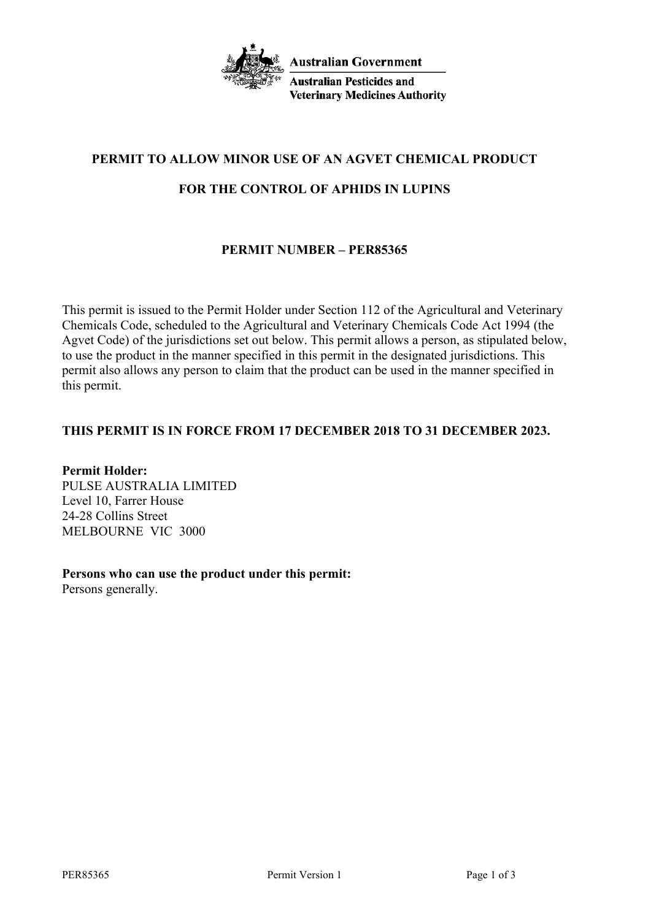

**Australian Government** 

**Australian Pesticides and Veterinary Medicines Authority** 

# **PERMIT TO ALLOW MINOR USE OF AN AGVET CHEMICAL PRODUCT**

## **FOR THE CONTROL OF APHIDS IN LUPINS**

## **PERMIT NUMBER – PER85365**

This permit is issued to the Permit Holder under Section 112 of the Agricultural and Veterinary Chemicals Code, scheduled to the Agricultural and Veterinary Chemicals Code Act 1994 (the Agvet Code) of the jurisdictions set out below. This permit allows a person, as stipulated below, to use the product in the manner specified in this permit in the designated jurisdictions. This permit also allows any person to claim that the product can be used in the manner specified in this permit.

## **THIS PERMIT IS IN FORCE FROM 17 DECEMBER 2018 TO 31 DECEMBER 2023.**

**Permit Holder:** PULSE AUSTRALIA LIMITED Level 10, Farrer House 24-28 Collins Street MELBOURNE VIC 3000

**Persons who can use the product under this permit:** Persons generally.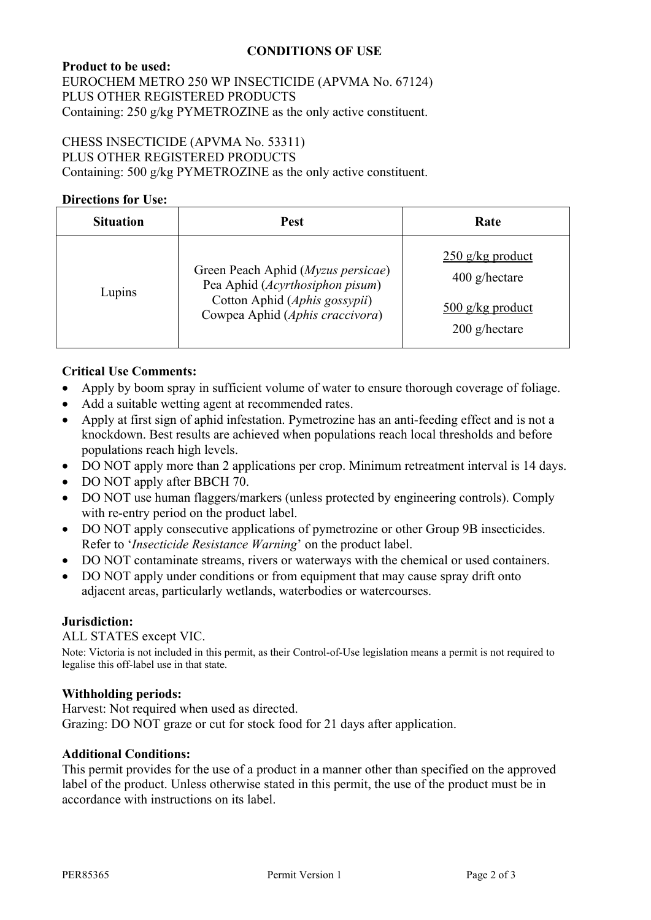## **CONDITIONS OF USE**

## **Product to be used:** EUROCHEM METRO 250 WP INSECTICIDE (APVMA No. 67124) PLUS OTHER REGISTERED PRODUCTS

Containing: 250 g/kg PYMETROZINE as the only active constituent.

## CHESS INSECTICIDE (APVMA No. 53311)

PLUS OTHER REGISTERED PRODUCTS

Containing: 500 g/kg PYMETROZINE as the only active constituent.

## **Directions for Use:**

| <b>Situation</b> | <b>Pest</b>                                                                                                                               | Rate                                                                           |
|------------------|-------------------------------------------------------------------------------------------------------------------------------------------|--------------------------------------------------------------------------------|
| Lupins           | Green Peach Aphid (Myzus persicae)<br>Pea Aphid (Acyrthosiphon pisum)<br>Cotton Aphid (Aphis gossypii)<br>Cowpea Aphid (Aphis craccivora) | $250$ g/kg product<br>$400$ g/hectare<br>$500$ g/kg product<br>$200$ g/hectare |

### **Critical Use Comments:**

- Apply by boom spray in sufficient volume of water to ensure thorough coverage of foliage.
- Add a suitable wetting agent at recommended rates.
- Apply at first sign of aphid infestation. Pymetrozine has an anti-feeding effect and is not a knockdown. Best results are achieved when populations reach local thresholds and before populations reach high levels.
- DO NOT apply more than 2 applications per crop. Minimum retreatment interval is 14 days.
- DO NOT apply after BBCH 70.
- DO NOT use human flaggers/markers (unless protected by engineering controls). Comply with re-entry period on the product label.
- DO NOT apply consecutive applications of pymetrozine or other Group 9B insecticides. Refer to '*Insecticide Resistance Warning*' on the product label.
- DO NOT contaminate streams, rivers or waterways with the chemical or used containers.
- DO NOT apply under conditions or from equipment that may cause spray drift onto adjacent areas, particularly wetlands, waterbodies or watercourses.

#### **Jurisdiction:**

ALL STATES except VIC.

Note: Victoria is not included in this permit, as their Control-of-Use legislation means a permit is not required to legalise this off-label use in that state.

#### **Withholding periods:**

Harvest: Not required when used as directed. Grazing: DO NOT graze or cut for stock food for 21 days after application.

#### **Additional Conditions:**

This permit provides for the use of a product in a manner other than specified on the approved label of the product. Unless otherwise stated in this permit, the use of the product must be in accordance with instructions on its label.